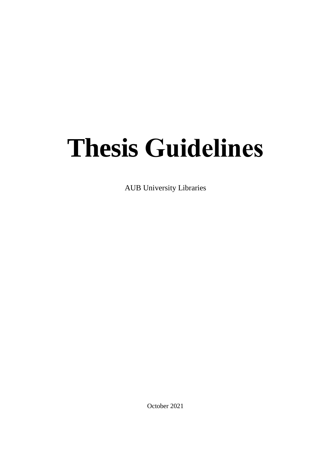# **Thesis Guidelines**

AUB University Libraries

October 2021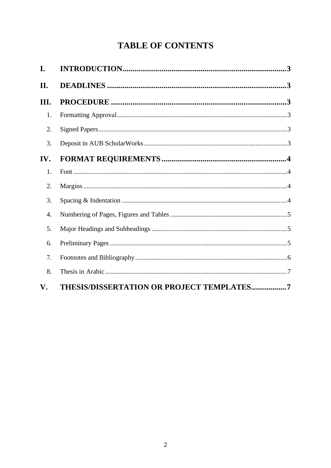# **TABLE OF CONTENTS**

| I.   |                                                  |  |
|------|--------------------------------------------------|--|
| II.  |                                                  |  |
| III. |                                                  |  |
| 1.   |                                                  |  |
| 2.   |                                                  |  |
| 3.   |                                                  |  |
| IV.  |                                                  |  |
| 1.   |                                                  |  |
| 2.   |                                                  |  |
| 3.   |                                                  |  |
| 4.   |                                                  |  |
| 5.   |                                                  |  |
| 6.   |                                                  |  |
| 7.   |                                                  |  |
| 8.   |                                                  |  |
| V.   | <b>THESIS/DISSERTATION OR PROJECT TEMPLATES7</b> |  |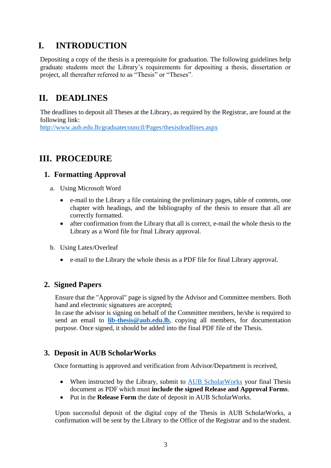# <span id="page-2-0"></span>**I. INTRODUCTION**

Depositing a copy of the thesis is a prerequisite for graduation. The following guidelines help graduate students meet the Library's requirements for depositing a thesis, dissertation or project, all thereafter referred to as "Thesis" or "Theses".

# <span id="page-2-1"></span>**II. DEADLINES**

The deadlines to deposit all Theses at the Library, as required by the Registrar, are found at the following link:

<http://www.aub.edu.lb/graduatecouncil/Pages/thesisdeadlines.aspx>

# <span id="page-2-2"></span>**III. PROCEDURE**

## <span id="page-2-3"></span>**1. Formatting Approval**

- a. Using Microsoft Word
	- e-mail to the Library a file containing the preliminary pages, table of contents, one chapter with headings, and the bibliography of the thesis to ensure that all are correctly formatted.
	- after confirmation from the Library that all is correct, e-mail the whole thesis to the Library as a Word file for final Library approval.
- b. Using Latex/Overleaf
	- e-mail to the Library the whole thesis as a PDF file for final Library approval.

# <span id="page-2-4"></span>**2. Signed Papers**

Ensure that the "Approval" page is signed by the Advisor and Committee members. Both hand and electronic signatures are accepted;

In case the advisor is signing on behalf of the Committee members, he/she is required to send an email to **[lib-thesis@aub.edu.lb](mailto:lib-thesis@aub.edu.lb)**, copying all members, for documentation purpose. Once signed, it should be added into the final PDF file of the Thesis.

# <span id="page-2-5"></span>**3. Deposit in AUB ScholarWorks**

Once formatting is approved and verification from Advisor/Department is received,

- When instructed by the Library, submit to [AUB ScholarWorks](https://aub.edu.lb.libguides.com/AUB-Scholarworks/thesis) your final Thesis document as PDF which must **include the signed Release and Approval Forms**.
- Put in the **Release Form** the date of deposit in AUB ScholarWorks.

Upon successful deposit of the digital copy of the Thesis in AUB ScholarWorks, a confirmation will be sent by the Library to the Office of the Registrar and to the student.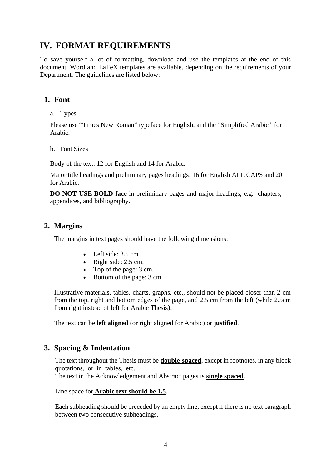# <span id="page-3-0"></span>**IV. FORMAT REQUIREMENTS**

To save yourself a lot of formatting, download and use the templates at the end of this document. Word and LaTeX templates are available, depending on the requirements of your Department. The guidelines are listed below:

## <span id="page-3-1"></span>**1. Font**

a. Types

Please use "Times New Roman" typeface for English, and the "Simplified Arabic*"* for Arabic.

b. Font Sizes

Body of the text: 12 for English and 14 for Arabic.

Major title headings and preliminary pages headings: 16 for English ALL CAPS and 20 for Arabic.

**DO NOT USE BOLD face** in preliminary pages and major headings, e.g. chapters, appendices, and bibliography.

## <span id="page-3-2"></span>**2. Margins**

The margins in text pages should have the following dimensions:

- Left side: 3.5 cm.
- Right side: 2.5 cm.
- Top of the page: 3 cm.
- Bottom of the page: 3 cm.

Illustrative materials, tables, charts, graphs, etc., should not be placed closer than 2 cm from the top, right and bottom edges of the page, and 2.5 cm from the left (while 2.5cm from right instead of left for Arabic Thesis).

The text can be **left aligned** (or right aligned for Arabic) or **justified**.

## <span id="page-3-3"></span>**3. Spacing & Indentation**

The text throughout the Thesis must be **double-spaced**, except in footnotes, in any block quotations, or in tables, etc.

The text in the Acknowledgement and Abstract pages is **single spaced**.

Line space for **Arabic text should be 1.5**.

Each subheading should be preceded by an empty line, except if there is no text paragraph between two consecutive subheadings.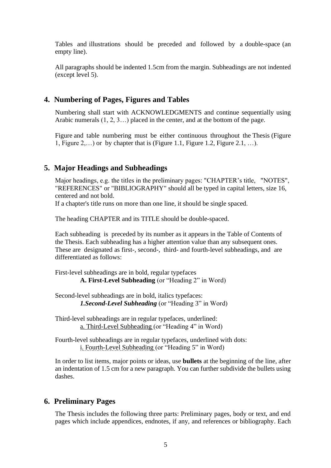Tables and illustrations should be preceded and followed by a double-space (an empty line).

All paragraphs should be indented 1.5cm from the margin. Subheadings are not indented (except level 5).

#### <span id="page-4-0"></span>**4. Numbering of Pages, Figures and Tables**

Numbering shall start with ACKNOWLEDGMENTS and continue sequentially using Arabic numerals (1, 2, 3…) placed in the center, and at the bottom of the page.

Figure and table numbering must be either continuous throughout the Thesis (Figure 1, Figure 2,…) or by chapter that is (Figure 1.1, Figure 1.2, Figure 2.1, …).

#### <span id="page-4-1"></span>**5. Major Headings and Subheadings**

Major headings, e.g. the titles in the preliminary pages: "CHAPTER's title, "NOTES", "REFERENCES" or "BIBLIOGRAPHY" should all be typed in capital letters, size 16, centered and not bold.

If a chapter's title runs on more than one line, it should be single spaced.

The heading CHAPTER and its TITLE should be double-spaced.

Each subheading is preceded by its number as it appears in the Table of Contents of the Thesis. Each subheading has a higher attention value than any subsequent ones. These are designated as first-, second-, third- and fourth-level subheadings, and are differentiated as follows:

First-level subheadings are in bold, regular typefaces **A. First-Level Subheading** (or "Heading 2" in Word)

Second-level subheadings are in bold, italics typefaces: *1.Second-Level Subheading* (or "Heading 3" in Word)

Third-level subheadings are in regular typefaces, underlined: a. Third-Level Subheading (or "Heading 4" in Word)

Fourth-level subheadings are in regular typefaces, underlined with dots: i. Fourth-Level Subheading (or "Heading 5" in Word)

In order to list items, major points or ideas, use **bullets** at the beginning of the line, after an indentation of 1.5 cm for a new paragraph. You can further subdivide the bullets using dashes.

#### <span id="page-4-2"></span>**6. Preliminary Pages**

The Thesis includes the following three parts: Preliminary pages, body or text, and end pages which include appendices, endnotes, if any, and references or bibliography. Each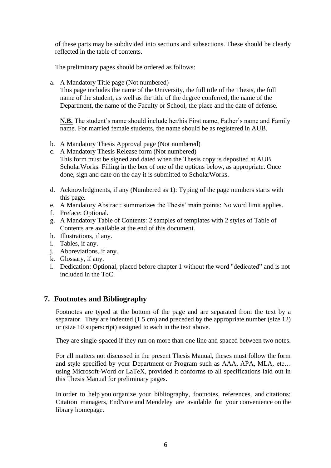of these parts may be subdivided into sections and subsections. These should be clearly reflected in the table of contents.

The preliminary pages should be ordered as follows:

a. A Mandatory Title page (Not numbered)

This page includes the name of the University, the full title of the Thesis, the full name of the student, as well as the title of the degree conferred, the name of the Department, the name of the Faculty or School, the place and the date of defense.

**N.B.** The student's name should include her/his First name, Father's name and Family name. For married female students, the name should be as registered in AUB.

b. A Mandatory Thesis Approval page (Not numbered)

c. A Mandatory Thesis Release form (Not numbered) This form must be signed and dated when the Thesis copy is deposited at AUB ScholarWorks. Filling in the box of one of the options below, as appropriate. Once done, sign and date on the day it is submitted to ScholarWorks.

- d. Acknowledgments, if any (Numbered as 1): Typing of the page numbers starts with this page.
- e. A Mandatory Abstract: summarizes the Thesis' main points: No word limit applies.
- f. Preface: Optional.
- g. A Mandatory Table of Contents: 2 samples of templates with 2 styles of Table of Contents are available at the end of this document.
- h. Illustrations, if any.
- i. Tables, if any.
- j. Abbreviations, if any.
- k. Glossary, if any.
- l. Dedication: Optional, placed before chapter 1 without the word "dedicated" and is not included in the ToC.

## <span id="page-5-0"></span>**7. Footnotes and Bibliography**

Footnotes are typed at the bottom of the page and are separated from the text by a separator. They are indented (1.5 cm) and preceded by the appropriate number (size 12) or (size 10 superscript) assigned to each in the text above.

They are single-spaced if they run on more than one line and spaced between two notes.

For all matters not discussed in the present Thesis Manual, theses must follow the form and style specified by your Department or Program such as AAA, APA, MLA, etc… using Microsoft-Word or LaTeX, provided it conforms to all specifications laid out in this Thesis Manual for preliminary pages.

In order to help you organize your bibliography, footnotes, references, and citations; Citation managers, EndNote and Mendeley are available for your convenience on the library homepage.